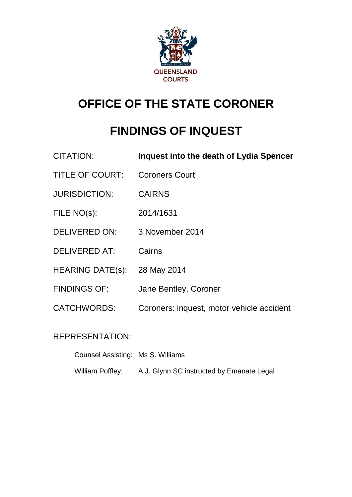

## **OFFICE OF THE STATE CORONER**

# **FINDINGS OF INQUEST**

| <b>CITATION:</b>        | Inquest into the death of Lydia Spencer   |
|-------------------------|-------------------------------------------|
| <b>TITLE OF COURT:</b>  | <b>Coroners Court</b>                     |
| <b>JURISDICTION:</b>    | <b>CAIRNS</b>                             |
| FILE NO(s):             | 2014/1631                                 |
| <b>DELIVERED ON:</b>    | 3 November 2014                           |
| <b>DELIVERED AT:</b>    | Cairns                                    |
| <b>HEARING DATE(s):</b> | 28 May 2014                               |
| <b>FINDINGS OF:</b>     | Jane Bentley, Coroner                     |
| <b>CATCHWORDS:</b>      | Coroners: inquest, motor vehicle accident |

## REPRESENTATION:

| Counsel Assisting: Ms S. Williams |                                           |
|-----------------------------------|-------------------------------------------|
| William Poffley:                  | A.J. Glynn SC instructed by Emanate Legal |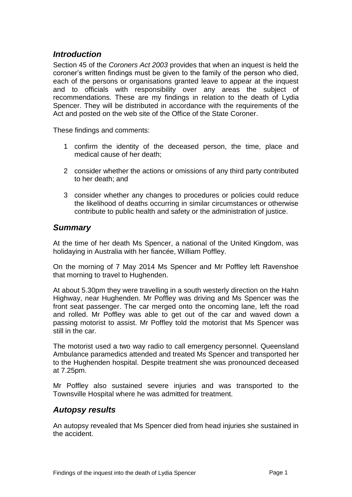### *Introduction*

Section 45 of the *Coroners Act 2003* provides that when an inquest is held the coroner's written findings must be given to the family of the person who died, each of the persons or organisations granted leave to appear at the inquest and to officials with responsibility over any areas the subject of recommendations. These are my findings in relation to the death of Lydia Spencer. They will be distributed in accordance with the requirements of the Act and posted on the web site of the Office of the State Coroner.

These findings and comments:

- 1 confirm the identity of the deceased person, the time, place and medical cause of her death;
- 2 consider whether the actions or omissions of any third party contributed to her death; and
- 3 consider whether any changes to procedures or policies could reduce the likelihood of deaths occurring in similar circumstances or otherwise contribute to public health and safety or the administration of justice.

#### *Summary*

At the time of her death Ms Spencer, a national of the United Kingdom, was holidaying in Australia with her fiancée, William Poffley.

On the morning of 7 May 2014 Ms Spencer and Mr Poffley left Ravenshoe that morning to travel to Hughenden.

At about 5.30pm they were travelling in a south westerly direction on the Hahn Highway, near Hughenden. Mr Poffley was driving and Ms Spencer was the front seat passenger. The car merged onto the oncoming lane, left the road and rolled. Mr Poffley was able to get out of the car and waved down a passing motorist to assist. Mr Poffley told the motorist that Ms Spencer was still in the car.

The motorist used a two way radio to call emergency personnel. Queensland Ambulance paramedics attended and treated Ms Spencer and transported her to the Hughenden hospital. Despite treatment she was pronounced deceased at 7.25pm.

Mr Poffley also sustained severe injuries and was transported to the Townsville Hospital where he was admitted for treatment.

### *Autopsy results*

An autopsy revealed that Ms Spencer died from head injuries she sustained in the accident.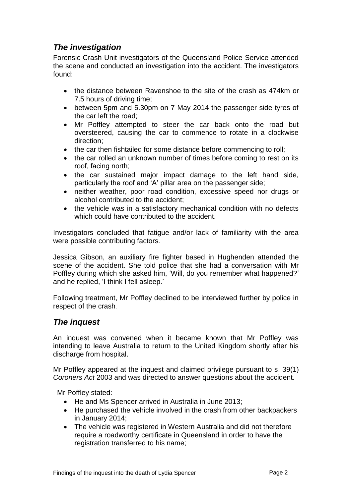## *The investigation*

Forensic Crash Unit investigators of the Queensland Police Service attended the scene and conducted an investigation into the accident. The investigators found:

- the distance between Ravenshoe to the site of the crash as 474km or 7.5 hours of driving time;
- between 5pm and 5.30pm on 7 May 2014 the passenger side tyres of the car left the road;
- Mr Poffley attempted to steer the car back onto the road but oversteered, causing the car to commence to rotate in a clockwise direction;
- the car then fishtailed for some distance before commencing to roll;
- the car rolled an unknown number of times before coming to rest on its roof, facing north;
- the car sustained major impact damage to the left hand side, particularly the roof and 'A' pillar area on the passenger side;
- neither weather, poor road condition, excessive speed nor drugs or alcohol contributed to the accident;
- the vehicle was in a satisfactory mechanical condition with no defects which could have contributed to the accident.

Investigators concluded that fatigue and/or lack of familiarity with the area were possible contributing factors*.*

Jessica Gibson, an auxiliary fire fighter based in Hughenden attended the scene of the accident. She told police that she had a conversation with Mr Poffley during which she asked him, 'Will, do you remember what happened?' and he replied, 'I think I fell asleep.'

Following treatment, Mr Poffley declined to be interviewed further by police in respect of the crash.

## *The inquest*

An inquest was convened when it became known that Mr Poffley was intending to leave Australia to return to the United Kingdom shortly after his discharge from hospital.

Mr Poffley appeared at the inquest and claimed privilege pursuant to s. 39(1) *Coroners Act* 2003 and was directed to answer questions about the accident.

Mr Poffley stated:

- He and Ms Spencer arrived in Australia in June 2013;
- He purchased the vehicle involved in the crash from other backpackers in January 2014;
- The vehicle was registered in Western Australia and did not therefore require a roadworthy certificate in Queensland in order to have the registration transferred to his name;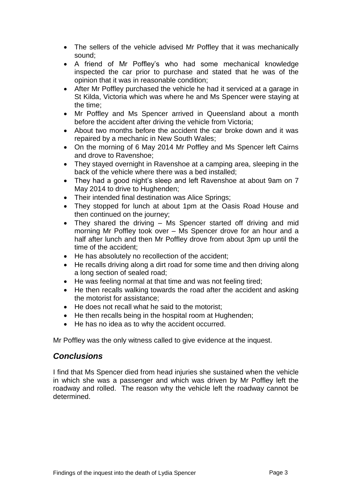- The sellers of the vehicle advised Mr Poffley that it was mechanically sound;
- A friend of Mr Poffley's who had some mechanical knowledge inspected the car prior to purchase and stated that he was of the opinion that it was in reasonable condition;
- After Mr Poffley purchased the vehicle he had it serviced at a garage in St Kilda, Victoria which was where he and Ms Spencer were staying at the time;
- Mr Poffley and Ms Spencer arrived in Queensland about a month before the accident after driving the vehicle from Victoria;
- About two months before the accident the car broke down and it was repaired by a mechanic in New South Wales;
- On the morning of 6 May 2014 Mr Poffley and Ms Spencer left Cairns and drove to Ravenshoe;
- They stayed overnight in Ravenshoe at a camping area, sleeping in the back of the vehicle where there was a bed installed;
- They had a good night's sleep and left Ravenshoe at about 9am on 7 May 2014 to drive to Hughenden;
- Their intended final destination was Alice Springs;
- They stopped for lunch at about 1pm at the Oasis Road House and then continued on the journey;
- They shared the driving Ms Spencer started off driving and mid morning Mr Poffley took over – Ms Spencer drove for an hour and a half after lunch and then Mr Poffley drove from about 3pm up until the time of the accident;
- He has absolutely no recollection of the accident;
- He recalls driving along a dirt road for some time and then driving along a long section of sealed road;
- He was feeling normal at that time and was not feeling tired:
- He then recalls walking towards the road after the accident and asking the motorist for assistance;
- He does not recall what he said to the motorist;
- He then recalls being in the hospital room at Hughenden;
- He has no idea as to why the accident occurred.

Mr Poffley was the only witness called to give evidence at the inquest.

#### *Conclusions*

I find that Ms Spencer died from head injuries she sustained when the vehicle in which she was a passenger and which was driven by Mr Poffley left the roadway and rolled. The reason why the vehicle left the roadway cannot be determined.